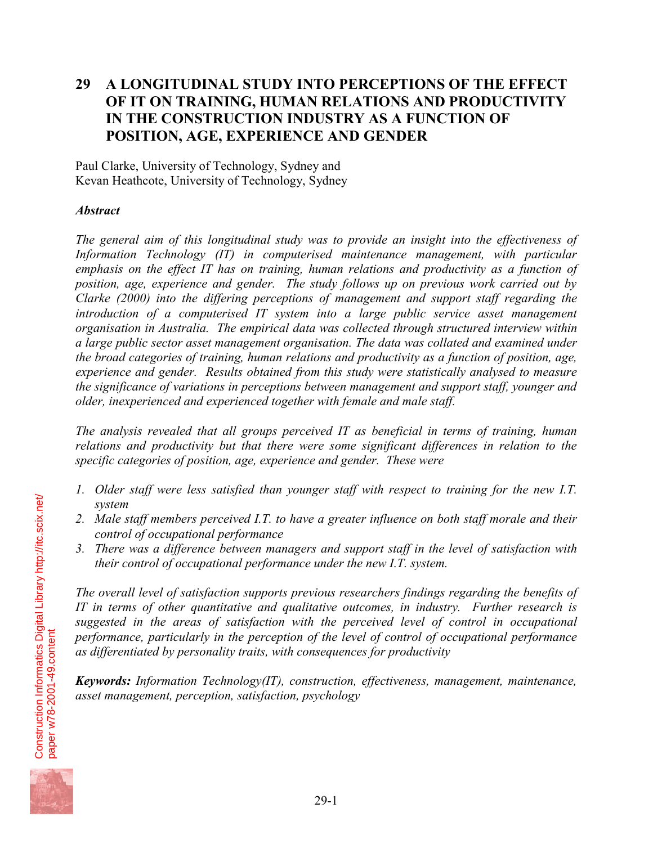# **29 A LONGITUDINAL STUDY INTO PERCEPTIONS OF THE EFFECT OF IT ON TRAINING, HUMAN RELATIONS AND PRODUCTIVITY IN THE CONSTRUCTION INDUSTRY AS A FUNCTION OF POSITION, AGE, EXPERIENCE AND GENDER**

Paul Clarke, University of Technology, Sydney and Kevan Heathcote, University of Technology, Sydney

# *Abstract*

*The general aim of this longitudinal study was to provide an insight into the effectiveness of Information Technology (IT) in computerised maintenance management, with particular emphasis on the effect IT has on training, human relations and productivity as a function of position, age, experience and gender. The study follows up on previous work carried out by Clarke (2000) into the differing perceptions of management and support staff regarding the introduction of a computerised IT system into a large public service asset management organisation in Australia. The empirical data was collected through structured interview within a large public sector asset management organisation. The data was collated and examined under the broad categories of training, human relations and productivity as a function of position, age, experience and gender. Results obtained from this study were statistically analysed to measure the significance of variations in perceptions between management and support staff, younger and older, inexperienced and experienced together with female and male staff.* 

*The analysis revealed that all groups perceived IT as beneficial in terms of training, human relations and productivity but that there were some significant differences in relation to the specific categories of position, age, experience and gender. These were* 

- *1. Older staff were less satisfied than younger staff with respect to training for the new I.T. system*
- *2. Male staff members perceived I.T. to have a greater influence on both staff morale and their control of occupational performance*
- *3. There was a difference between managers and support staff in the level of satisfaction with their control of occupational performance under the new I.T. system.*

*The overall level of satisfaction supports previous researchers findings regarding the benefits of IT in terms of other quantitative and qualitative outcomes, in industry. Further research is suggested in the areas of satisfaction with the perceived level of control in occupational performance, particularly in the perception of the level of control of occupational performance as differentiated by personality traits, with consequences for productivity* 

*Keywords: Information Technology(IT), construction, effectiveness, management, maintenance, asset management, perception, satisfaction, psychology* 

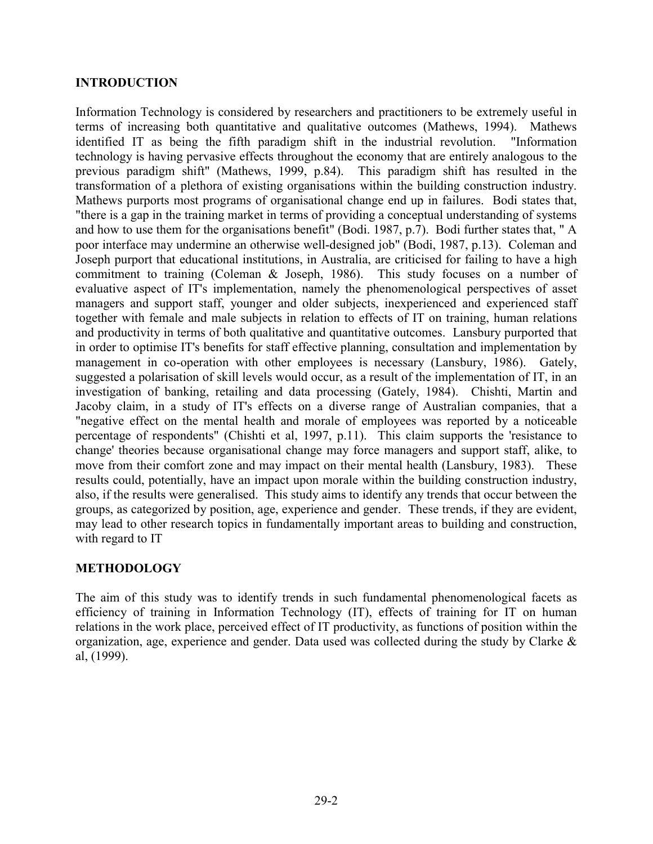#### **INTRODUCTION**

Information Technology is considered by researchers and practitioners to be extremely useful in terms of increasing both quantitative and qualitative outcomes (Mathews, 1994). Mathews identified IT as being the fifth paradigm shift in the industrial revolution. "Information technology is having pervasive effects throughout the economy that are entirely analogous to the previous paradigm shift" (Mathews, 1999, p.84). This paradigm shift has resulted in the transformation of a plethora of existing organisations within the building construction industry. Mathews purports most programs of organisational change end up in failures. Bodi states that, "there is a gap in the training market in terms of providing a conceptual understanding of systems and how to use them for the organisations benefit" (Bodi. 1987, p.7). Bodi further states that, " A poor interface may undermine an otherwise well-designed job" (Bodi, 1987, p.13). Coleman and Joseph purport that educational institutions, in Australia, are criticised for failing to have a high commitment to training (Coleman & Joseph, 1986). This study focuses on a number of evaluative aspect of IT's implementation, namely the phenomenological perspectives of asset managers and support staff, younger and older subjects, inexperienced and experienced staff together with female and male subjects in relation to effects of IT on training, human relations and productivity in terms of both qualitative and quantitative outcomes. Lansbury purported that in order to optimise IT's benefits for staff effective planning, consultation and implementation by management in co-operation with other employees is necessary (Lansbury, 1986). Gately, suggested a polarisation of skill levels would occur, as a result of the implementation of IT, in an investigation of banking, retailing and data processing (Gately, 1984). Chishti, Martin and Jacoby claim, in a study of IT's effects on a diverse range of Australian companies, that a "negative effect on the mental health and morale of employees was reported by a noticeable percentage of respondents" (Chishti et al, 1997, p.11). This claim supports the 'resistance to change' theories because organisational change may force managers and support staff, alike, to move from their comfort zone and may impact on their mental health (Lansbury, 1983). These results could, potentially, have an impact upon morale within the building construction industry, also, if the results were generalised. This study aims to identify any trends that occur between the groups, as categorized by position, age, experience and gender. These trends, if they are evident, may lead to other research topics in fundamentally important areas to building and construction, with regard to IT

# **METHODOLOGY**

The aim of this study was to identify trends in such fundamental phenomenological facets as efficiency of training in Information Technology (IT), effects of training for IT on human relations in the work place, perceived effect of IT productivity, as functions of position within the organization, age, experience and gender. Data used was collected during the study by Clarke  $\&$ al, (1999).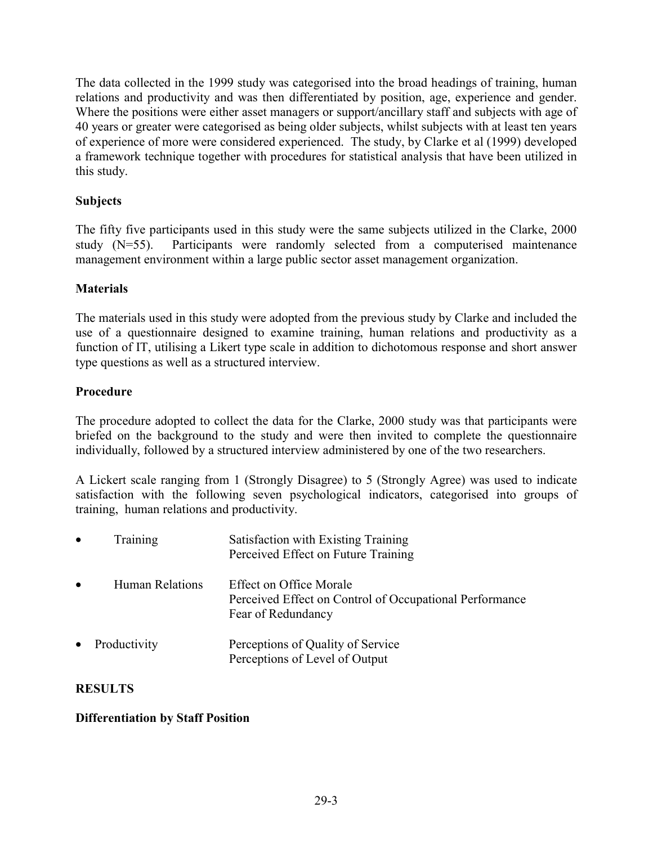The data collected in the 1999 study was categorised into the broad headings of training, human relations and productivity and was then differentiated by position, age, experience and gender. Where the positions were either asset managers or support/ancillary staff and subjects with age of 40 years or greater were categorised as being older subjects, whilst subjects with at least ten years of experience of more were considered experienced. The study, by Clarke et al (1999) developed a framework technique together with procedures for statistical analysis that have been utilized in this study.

# **Subjects**

The fifty five participants used in this study were the same subjects utilized in the Clarke, 2000 study (N=55). Participants were randomly selected from a computerised maintenance management environment within a large public sector asset management organization.

# **Materials**

The materials used in this study were adopted from the previous study by Clarke and included the use of a questionnaire designed to examine training, human relations and productivity as a function of IT, utilising a Likert type scale in addition to dichotomous response and short answer type questions as well as a structured interview.

# **Procedure**

The procedure adopted to collect the data for the Clarke, 2000 study was that participants were briefed on the background to the study and were then invited to complete the questionnaire individually, followed by a structured interview administered by one of the two researchers.

A Lickert scale ranging from 1 (Strongly Disagree) to 5 (Strongly Agree) was used to indicate satisfaction with the following seven psychological indicators, categorised into groups of training, human relations and productivity.

| $\bullet$ | Training               | Satisfaction with Existing Training<br>Perceived Effect on Future Training                               |
|-----------|------------------------|----------------------------------------------------------------------------------------------------------|
| $\bullet$ | <b>Human Relations</b> | Effect on Office Morale<br>Perceived Effect on Control of Occupational Performance<br>Fear of Redundancy |
| $\bullet$ | Productivity           | Perceptions of Quality of Service<br>Perceptions of Level of Output                                      |

## **RESULTS**

## **Differentiation by Staff Position**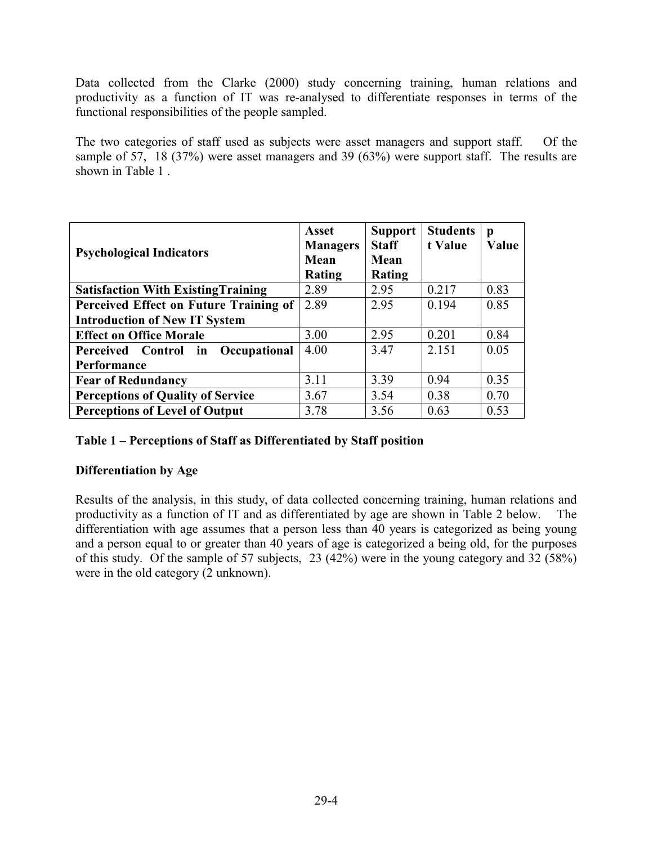Data collected from the Clarke (2000) study concerning training, human relations and productivity as a function of IT was re-analysed to differentiate responses in terms of the functional responsibilities of the people sampled.

The two categories of staff used as subjects were asset managers and support staff. Of the sample of 57, 18 (37%) were asset managers and 39 (63%) were support staff. The results are shown in Table 1 .

| <b>Psychological Indicators</b>            | <b>Asset</b><br><b>Managers</b><br><b>Mean</b><br>Rating | <b>Support</b><br><b>Staff</b><br>Mean<br><b>Rating</b> | <b>Students</b><br>t Value | p<br>Value |
|--------------------------------------------|----------------------------------------------------------|---------------------------------------------------------|----------------------------|------------|
| <b>Satisfaction With Existing Training</b> | 2.89                                                     | 2.95                                                    | 0.217                      | 0.83       |
| Perceived Effect on Future Training of     | 2.89                                                     | 2.95                                                    | 0.194                      | 0.85       |
| <b>Introduction of New IT System</b>       |                                                          |                                                         |                            |            |
| <b>Effect on Office Morale</b>             | 3.00                                                     | 2.95                                                    | 0.201                      | 0.84       |
| Perceived Control in Occupational          | 4.00                                                     | 3.47                                                    | 2.151                      | 0.05       |
| Performance                                |                                                          |                                                         |                            |            |
| <b>Fear of Redundancy</b>                  | 3.11                                                     | 3.39                                                    | 0.94                       | 0.35       |
| <b>Perceptions of Quality of Service</b>   | 3.67                                                     | 3.54                                                    | 0.38                       | 0.70       |
| <b>Perceptions of Level of Output</b>      | 3.78                                                     | 3.56                                                    | 0.63                       | 0.53       |

## **Table 1 – Perceptions of Staff as Differentiated by Staff position**

#### **Differentiation by Age**

Results of the analysis, in this study, of data collected concerning training, human relations and productivity as a function of IT and as differentiated by age are shown in Table 2 below. The differentiation with age assumes that a person less than 40 years is categorized as being young and a person equal to or greater than 40 years of age is categorized a being old, for the purposes of this study. Of the sample of 57 subjects, 23 (42%) were in the young category and 32 (58%) were in the old category (2 unknown).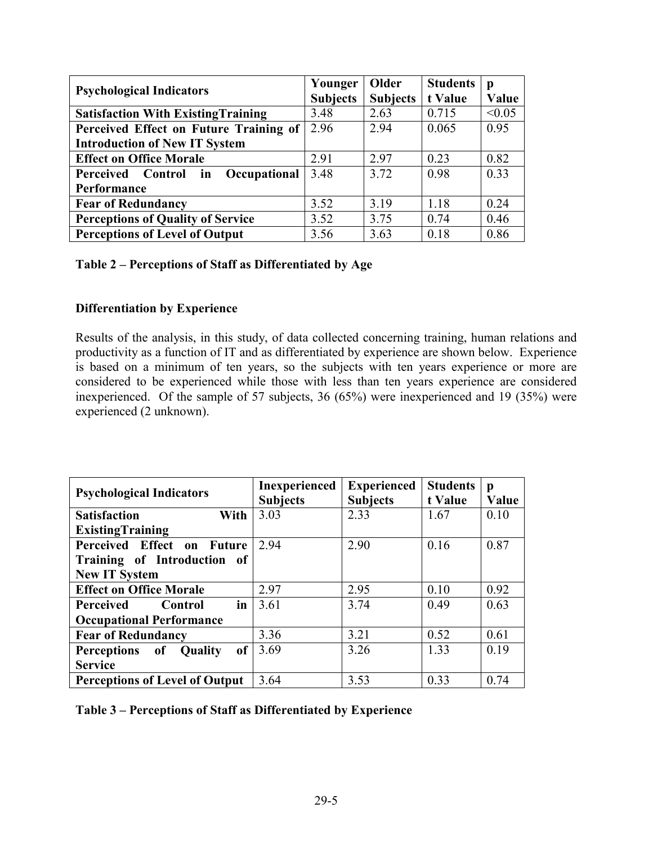| <b>Psychological Indicators</b>            | Younger         | Older           | <b>Students</b> | p      |
|--------------------------------------------|-----------------|-----------------|-----------------|--------|
|                                            | <b>Subjects</b> | <b>Subjects</b> | t Value         | Value  |
| <b>Satisfaction With Existing Training</b> | 3.48            | 2.63            | 0.715           | < 0.05 |
| Perceived Effect on Future Training of     | 2.96            | 2.94            | 0.065           | 0.95   |
| <b>Introduction of New IT System</b>       |                 |                 |                 |        |
| <b>Effect on Office Morale</b>             | 2.91            | 2.97            | 0.23            | 0.82   |
| Perceived Control in<br>Occupational       | 3.48            | 3.72            | 0.98            | 0.33   |
| Performance                                |                 |                 |                 |        |
| <b>Fear of Redundancy</b>                  | 3.52            | 3.19            | 1.18            | 0.24   |
| <b>Perceptions of Quality of Service</b>   | 3.52            | 3.75            | 0.74            | 0.46   |
| <b>Perceptions of Level of Output</b>      | 3.56            | 3.63            | 0.18            | 0.86   |

#### **Table 2 – Perceptions of Staff as Differentiated by Age**

## **Differentiation by Experience**

Results of the analysis, in this study, of data collected concerning training, human relations and productivity as a function of IT and as differentiated by experience are shown below. Experience is based on a minimum of ten years, so the subjects with ten years experience or more are considered to be experienced while those with less than ten years experience are considered inexperienced. Of the sample of 57 subjects, 36 (65%) were inexperienced and 19 (35%) were experienced (2 unknown).

| <b>Psychological Indicators</b>                  | Inexperienced<br><b>Subjects</b> | <b>Experienced</b><br><b>Subjects</b> | <b>Students</b><br>t Value | p<br>Value |
|--------------------------------------------------|----------------------------------|---------------------------------------|----------------------------|------------|
| With<br><b>Satisfaction</b>                      | 3.03                             | 2.33                                  | 1.67                       | 0.10       |
| <b>ExistingTraining</b>                          |                                  |                                       |                            |            |
| Perceived Effect on Future                       | 2.94                             | 2.90                                  | 0.16                       | 0.87       |
| Training of Introduction of                      |                                  |                                       |                            |            |
| <b>New IT System</b>                             |                                  |                                       |                            |            |
| <b>Effect on Office Morale</b>                   | 2.97                             | 2.95                                  | 0.10                       | 0.92       |
| in<br>Perceived<br>Control                       | 3.61                             | 3.74                                  | 0.49                       | 0.63       |
| <b>Occupational Performance</b>                  |                                  |                                       |                            |            |
| <b>Fear of Redundancy</b>                        | 3.36                             | 3.21                                  | 0.52                       | 0.61       |
| of<br><b>Perceptions</b><br>of<br><b>Quality</b> | 3.69                             | 3.26                                  | 1.33                       | 0.19       |
| <b>Service</b>                                   |                                  |                                       |                            |            |
| <b>Perceptions of Level of Output</b>            | 3.64                             | 3.53                                  | 0.33                       | 0.74       |

#### **Table 3 – Perceptions of Staff as Differentiated by Experience**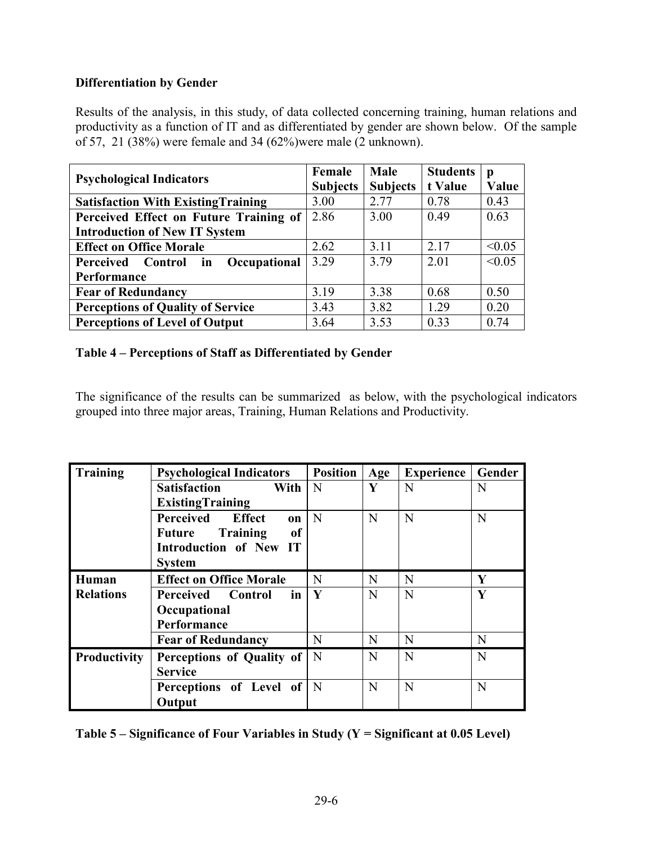# **Differentiation by Gender**

Results of the analysis, in this study, of data collected concerning training, human relations and productivity as a function of IT and as differentiated by gender are shown below. Of the sample of 57, 21 (38%) were female and 34 (62%)were male (2 unknown).

|                                            | Female          | Male            | <b>Students</b> | p      |
|--------------------------------------------|-----------------|-----------------|-----------------|--------|
| <b>Psychological Indicators</b>            | <b>Subjects</b> | <b>Subjects</b> | t Value         | Value  |
| <b>Satisfaction With Existing Training</b> | 3.00            | 2.77            | 0.78            | 0.43   |
| Perceived Effect on Future Training of     | 2.86            | 3.00            | 0.49            | 0.63   |
| <b>Introduction of New IT System</b>       |                 |                 |                 |        |
| <b>Effect on Office Morale</b>             | 2.62            | 3.11            | 2.17            | < 0.05 |
| Perceived Control in<br>Occupational       | 3.29            | 3.79            | 2.01            | < 0.05 |
| Performance                                |                 |                 |                 |        |
| <b>Fear of Redundancy</b>                  | 3.19            | 3.38            | 0.68            | 0.50   |
| <b>Perceptions of Quality of Service</b>   | 3.43            | 3.82            | 1.29            | 0.20   |
| <b>Perceptions of Level of Output</b>      | 3.64            | 3.53            | 0.33            | 0.74   |

# **Table 4 – Perceptions of Staff as Differentiated by Gender**

The significance of the results can be summarized as below, with the psychological indicators grouped into three major areas, Training, Human Relations and Productivity.

| Training            | <b>Psychological Indicators</b>            | <b>Position</b> | Age | <b>Experience</b> | Gender |
|---------------------|--------------------------------------------|-----------------|-----|-------------------|--------|
|                     | <b>Satisfaction</b><br><b>With</b>         | N               | Y   | N                 | N      |
|                     | <b>ExistingTraining</b>                    |                 |     |                   |        |
|                     | Perceived<br><b>Effect</b><br><b>on</b>    | N               | N   | N                 | N      |
|                     | <b>Training</b><br><sub>of</sub><br>Future |                 |     |                   |        |
|                     | Introduction of New IT                     |                 |     |                   |        |
|                     | <b>System</b>                              |                 |     |                   |        |
| Human               | <b>Effect on Office Morale</b>             | N               | N   | N                 | Y      |
| <b>Relations</b>    | <b>Perceived Control</b><br>$\mathbf{in}$  | Y               | N   | N                 | Y      |
|                     | Occupational                               |                 |     |                   |        |
|                     | Performance                                |                 |     |                   |        |
|                     | <b>Fear of Redundancy</b>                  | N               | N   | N                 | N      |
| <b>Productivity</b> | Perceptions of Quality of   N              |                 | N   | N                 | N      |
|                     | <b>Service</b>                             |                 |     |                   |        |
|                     | <b>Perceptions of Level of   N</b>         |                 | N   | N                 | N      |
|                     | Output                                     |                 |     |                   |        |

| Table $5$ – Significance of Four Variables in Study (Y = Significant at 0.05 Level) |  |  |  |
|-------------------------------------------------------------------------------------|--|--|--|
|                                                                                     |  |  |  |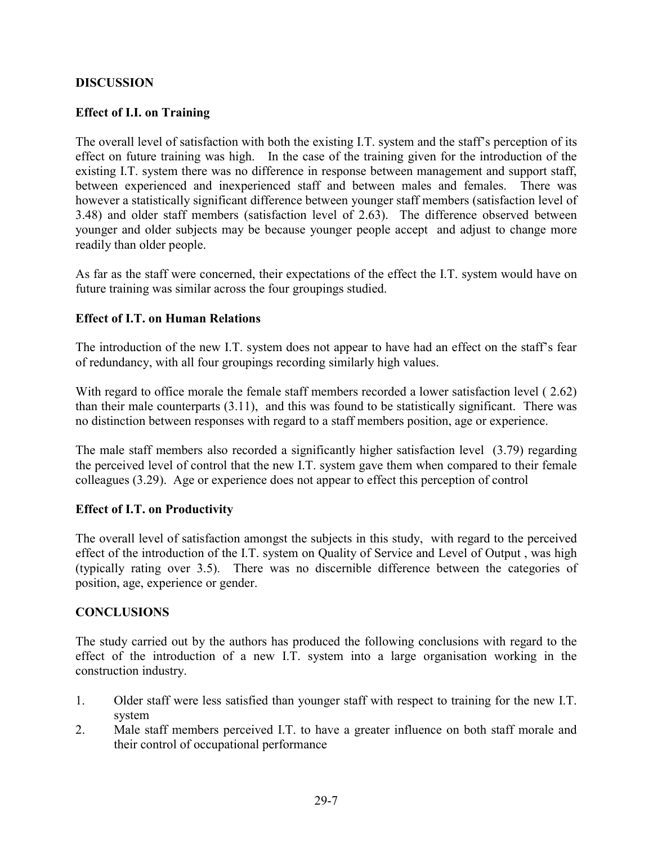## **DISCUSSION**

# **Effect of I.I. on Training**

The overall level of satisfaction with both the existing I.T. system and the staff's perception of its effect on future training was high. In the case of the training given for the introduction of the existing I.T. system there was no difference in response between management and support staff, between experienced and inexperienced staff and between males and females. There was however a statistically significant difference between younger staff members (satisfaction level of 3.48) and older staff members (satisfaction level of 2.63). The difference observed between younger and older subjects may be because younger people accept and adjust to change more readily than older people.

As far as the staff were concerned, their expectations of the effect the I.T. system would have on future training was similar across the four groupings studied.

## **Effect of I.T. on Human Relations**

The introduction of the new I.T. system does not appear to have had an effect on the staff's fear of redundancy, with all four groupings recording similarly high values.

With regard to office morale the female staff members recorded a lower satisfaction level (2.62) than their male counterparts (3.11), and this was found to be statistically significant. There was no distinction between responses with regard to a staff members position, age or experience.

The male staff members also recorded a significantly higher satisfaction level (3.79) regarding the perceived level of control that the new I.T. system gave them when compared to their female colleagues (3.29). Age or experience does not appear to effect this perception of control

## **Effect of I.T. on Productivity**

The overall level of satisfaction amongst the subjects in this study, with regard to the perceived effect of the introduction of the I.T. system on Quality of Service and Level of Output , was high (typically rating over 3.5). There was no discernible difference between the categories of position, age, experience or gender.

## **CONCLUSIONS**

The study carried out by the authors has produced the following conclusions with regard to the effect of the introduction of a new I.T. system into a large organisation working in the construction industry.

- 1. Older staff were less satisfied than younger staff with respect to training for the new I.T. system
- 2. Male staff members perceived I.T. to have a greater influence on both staff morale and their control of occupational performance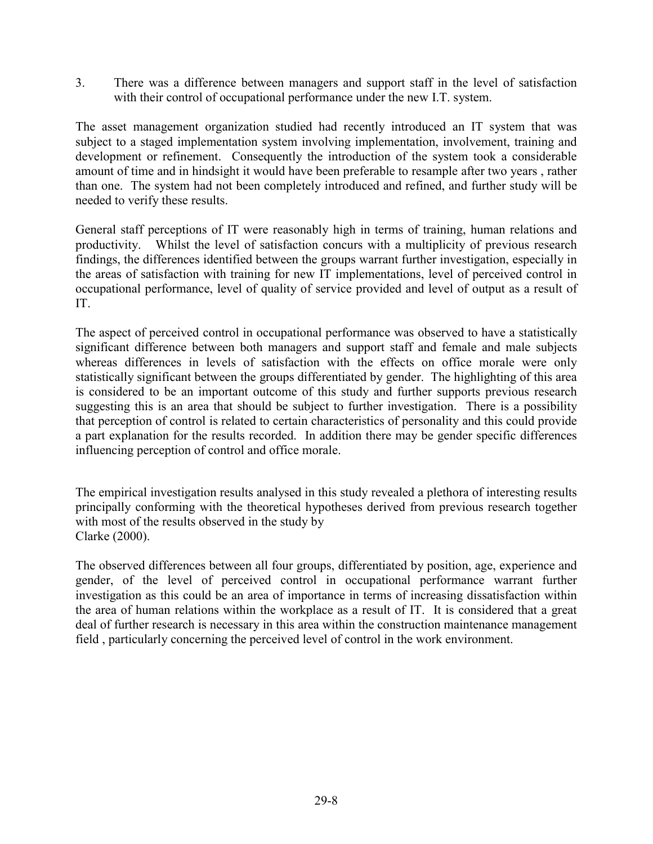3. There was a difference between managers and support staff in the level of satisfaction with their control of occupational performance under the new I.T. system.

The asset management organization studied had recently introduced an IT system that was subject to a staged implementation system involving implementation, involvement, training and development or refinement. Consequently the introduction of the system took a considerable amount of time and in hindsight it would have been preferable to resample after two years , rather than one. The system had not been completely introduced and refined, and further study will be needed to verify these results.

General staff perceptions of IT were reasonably high in terms of training, human relations and productivity. Whilst the level of satisfaction concurs with a multiplicity of previous research findings, the differences identified between the groups warrant further investigation, especially in the areas of satisfaction with training for new IT implementations, level of perceived control in occupational performance, level of quality of service provided and level of output as a result of IT.

The aspect of perceived control in occupational performance was observed to have a statistically significant difference between both managers and support staff and female and male subjects whereas differences in levels of satisfaction with the effects on office morale were only statistically significant between the groups differentiated by gender. The highlighting of this area is considered to be an important outcome of this study and further supports previous research suggesting this is an area that should be subject to further investigation. There is a possibility that perception of control is related to certain characteristics of personality and this could provide a part explanation for the results recorded. In addition there may be gender specific differences influencing perception of control and office morale.

The empirical investigation results analysed in this study revealed a plethora of interesting results principally conforming with the theoretical hypotheses derived from previous research together with most of the results observed in the study by Clarke (2000).

The observed differences between all four groups, differentiated by position, age, experience and gender, of the level of perceived control in occupational performance warrant further investigation as this could be an area of importance in terms of increasing dissatisfaction within the area of human relations within the workplace as a result of IT. It is considered that a great deal of further research is necessary in this area within the construction maintenance management field , particularly concerning the perceived level of control in the work environment.